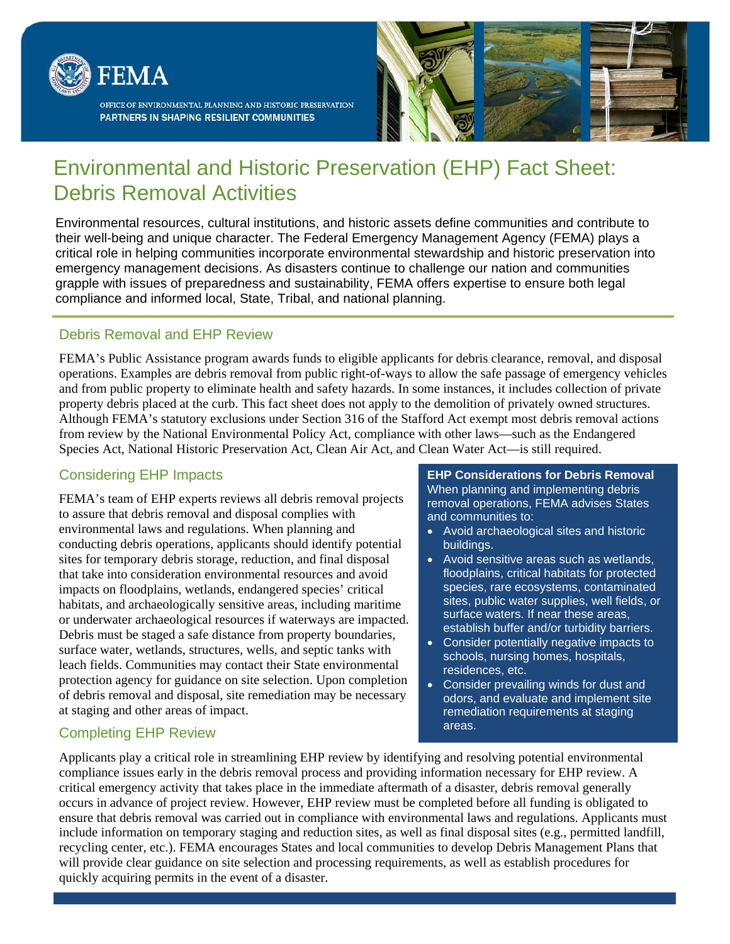

OFFICE OF ENVIRONMENTAL PLANNING AND HISTORIC PRESERVATION PARTNERS IN SHAPING RESILIENT COMMUNITIES



# Environmental and Historic Preservation (EHP) Fact Sheet: Debris Removal Activities

Environmental resources, cultural institutions, and historic assets define communities and contribute to their well-being and unique character. The Federal Emergency Management Agency (FEMA) plays a critical role in helping communities incorporate environmental stewardship and historic preservation into emergency management decisions. As disasters continue to challenge our nation and communities grapple with issues of preparedness and sustainability, FEMA offers expertise to ensure both legal compliance and informed local, State, Tribal, and national planning.

## Debris Removal and EHP Review

FEMA's Public Assistance program awards funds to eligible applicants for debris clearance, removal, and disposal operations. Examples are debris removal from public right-of-ways to allow the safe passage of emergency vehicles and from public property to eliminate health and safety hazards. In some instances, it includes collection of private property debris placed at the curb. This fact sheet does not apply to the demolition of privately owned structures. Although FEMA's statutory exclusions under Section 316 of the Stafford Act exempt most debris removal actions from review by the National Environmental Policy Act, compliance with other laws—such as the Endangered Species Act, National Historic Preservation Act, Clean Air Act, and Clean Water Act—is still required.

#### Considering EHP Impacts

FEMA's team of EHP experts reviews all debris removal projects to assure that debris removal and disposal complies with environmental laws and regulations. When planning and conducting debris operations, applicants should identify potential sites for temporary debris storage, reduction, and final disposal that take into consideration environmental resources and avoid impacts on floodplains, wetlands, endangered species' critical habitats, and archaeologically sensitive areas, including maritime or underwater archaeological resources if waterways are impacted. Debris must be staged a safe distance from property boundaries, surface water, wetlands, structures, wells, and septic tanks with leach fields. Communities may contact their State environmental protection agency for guidance on site selection. Upon completion of debris removal and disposal, site remediation may be necessary at staging and other areas of impact.

#### **EHP Considerations for Debris Removal**  When planning and implementing debris removal operations, FEMA advises States and communities to:

- Avoid archaeological sites and historic buildings.
- Avoid sensitive areas such as wetlands, floodplains, critical habitats for protected species, rare ecosystems, contaminated sites, public water supplies, well fields, or surface waters. If near these areas, establish buffer and/or turbidity barriers.
- Consider potentially negative impacts to schools, nursing homes, hospitals, residences, etc.
- Consider prevailing winds for dust and odors, and evaluate and implement site remediation requirements at staging areas.

## Completing EHP Review

Applicants play a critical role in streamlining EHP review by identifying and resolving potential environmental compliance issues early in the debris removal process and providing information necessary for EHP review. A critical emergency activity that takes place in the immediate aftermath of a disaster, debris removal generally occurs in advance of project review. However, EHP review must be completed before all funding is obligated to ensure that debris removal was carried out in compliance with environmental laws and regulations. Applicants must include information on temporary staging and reduction sites, as well as final disposal sites (e.g., permitted landfill, recycling center, etc.). FEMA encourages States and local communities to develop Debris Management Plans that will provide clear guidance on site selection and processing requirements, as well as establish procedures for quickly acquiring permits in the event of a disaster.